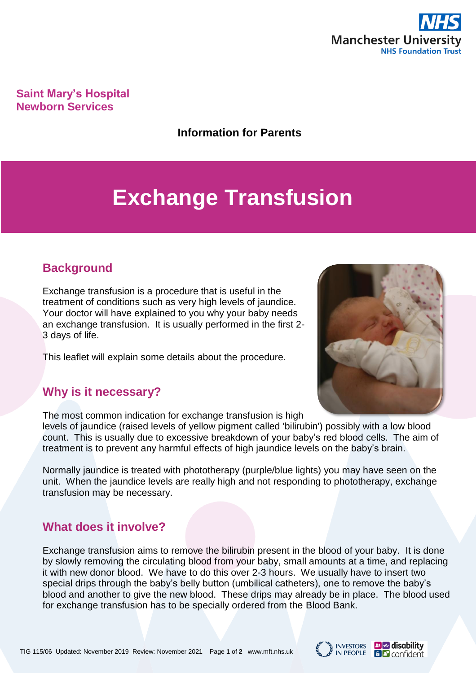

**Saint Mary's Hospital Newborn Services**

**Information for Parents**

# **Exchange Transfusion**

## **Background**

Exchange transfusion is a procedure that is useful in the treatment of conditions such as very high levels of jaundice. Your doctor will have explained to you why your baby needs an exchange transfusion. It is usually performed in the first 2- 3 days of life.

This leaflet will explain some details about the procedure.

## **Why is it necessary?**

The most common indication for exchange transfusion is high

levels of jaundice (raised levels of yellow pigment called 'bilirubin') possibly with a low blood count. This is usually due to excessive breakdown of your baby's red blood cells. The aim of treatment is to prevent any harmful effects of high jaundice levels on the baby's brain.

Normally jaundice is treated with phototherapy (purple/blue lights) you may have seen on the unit. When the jaundice levels are really high and not responding to phototherapy, exchange transfusion may be necessary.

## **What does it involve?**

Exchange transfusion aims to remove the bilirubin present in the blood of your baby. It is done by slowly removing the circulating blood from your baby, small amounts at a time, and replacing it with new donor blood. We have to do this over 2-3 hours. We usually have to insert two special drips through the baby's belly button (umbilical catheters), one to remove the baby's blood and another to give the new blood. These drips may already be in place. The blood used for exchange transfusion has to be specially ordered from the Blood Bank.